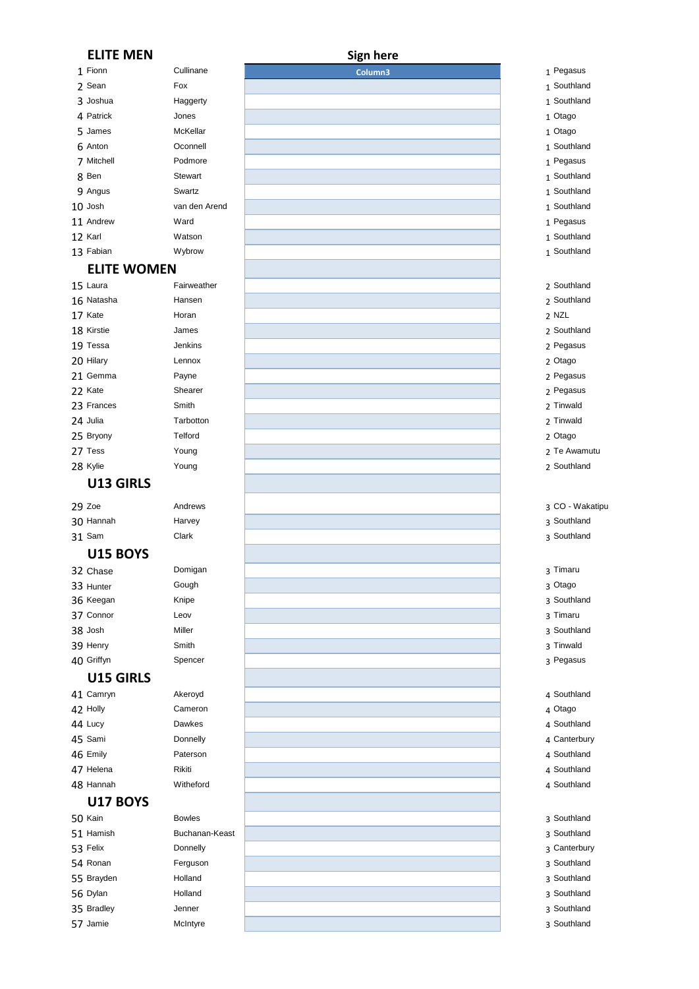| <b>ELITE MEN</b>   |                | <b>Sign here</b> |                 |
|--------------------|----------------|------------------|-----------------|
| 1 Fionn            | Cullinane      | Column3          | 1 Pegasus       |
| 2 Sean             | Fox            |                  | 1 Southland     |
| 3 Joshua           | Haggerty       |                  | 1 Southland     |
| 4 Patrick          | Jones          |                  | 1 Otago         |
| 5 James            | McKellar       |                  | 1 Otago         |
| 6 Anton            | Oconnell       |                  | 1 Southland     |
| 7 Mitchell         | Podmore        |                  | 1 Pegasus       |
| 8 Ben              | Stewart        |                  | 1 Southland     |
| 9 Angus            | Swartz         |                  | 1 Southland     |
| 10 Josh            | van den Arend  |                  | 1 Southland     |
| 11 Andrew          | Ward           |                  | 1 Pegasus       |
| 12 Karl            | Watson         |                  | 1 Southland     |
| 13 Fabian          | Wybrow         |                  | 1 Southland     |
| <b>ELITE WOMEN</b> |                |                  |                 |
| 15 Laura           | Fairweather    |                  | 2 Southland     |
| 16 Natasha         | Hansen         |                  | 2 Southland     |
| 17 Kate            | Horan          |                  | 2 NZL           |
| 18 Kirstie         | James          |                  | 2 Southland     |
| 19 Tessa           | Jenkins        |                  | 2 Pegasus       |
| 20 Hilary          | Lennox         |                  | 2 Otago         |
| 21 Gemma           | Payne          |                  | 2 Pegasus       |
| 22 Kate            | Shearer        |                  | 2 Pegasus       |
| 23 Frances         | Smith          |                  | 2 Tinwald       |
| 24 Julia           | Tarbotton      |                  | 2 Tinwald       |
| 25 Bryony          | <b>Telford</b> |                  | 2 Otago         |
| 27 Tess            | Young          |                  | 2 Te Awamutu    |
| 28 Kylie           | Young          |                  | 2 Southland     |
| U13 GIRLS          |                |                  |                 |
| 29 Zoe             | Andrews        |                  | 3 CO - Wakatipu |
| 30 Hannah          | Harvey         |                  | 3 Southland     |
| <b>31 Sam</b>      | Clark          |                  | 3 Southland     |
| <b>U15 BOYS</b>    |                |                  |                 |
| 32 Chase           | Domigan        |                  | 3 Timaru        |
| 33 Hunter          | Gough          |                  | 3 Otago         |
| 36 Keegan          | Knipe          |                  | 3 Southland     |
| 37 Connor          | Leov           |                  | 3 Timaru        |
| 38 Josh            | Miller         |                  | 3 Southland     |
| 39 Henry           | Smith          |                  | 3 Tinwald       |
| 40 Griffyn         | Spencer        |                  | 3 Pegasus       |
| U15 GIRLS          |                |                  |                 |
| 41 Camryn          | Akeroyd        |                  | 4 Southland     |
| 42 Holly           | Cameron        |                  | 4 Otago         |
| 44 Lucy            | Dawkes         |                  | 4 Southland     |
| 45 Sami            | Donnelly       |                  | 4 Canterbury    |
| 46 Emily           | Paterson       |                  | 4 Southland     |
| 47 Helena          | Rikiti         |                  | 4 Southland     |
| 48 Hannah          | Witheford      |                  | 4 Southland     |
| <b>U17 BOYS</b>    |                |                  |                 |
| 50 Kain            | <b>Bowles</b>  |                  | 3 Southland     |
| 51 Hamish          | Buchanan-Keast |                  | 3 Southland     |
| 53 Felix           | Donnelly       |                  | 3 Canterbury    |
| 54 Ronan           | Ferguson       |                  | 3 Southland     |
| 55 Brayden         | Holland        |                  | 3 Southland     |
| 56 Dylan           | Holland        |                  | 3 Southland     |
| 35 Bradley         | Jenner         |                  | 3 Southland     |
| 57 Jamie           | McIntyre       |                  | 3 Southland     |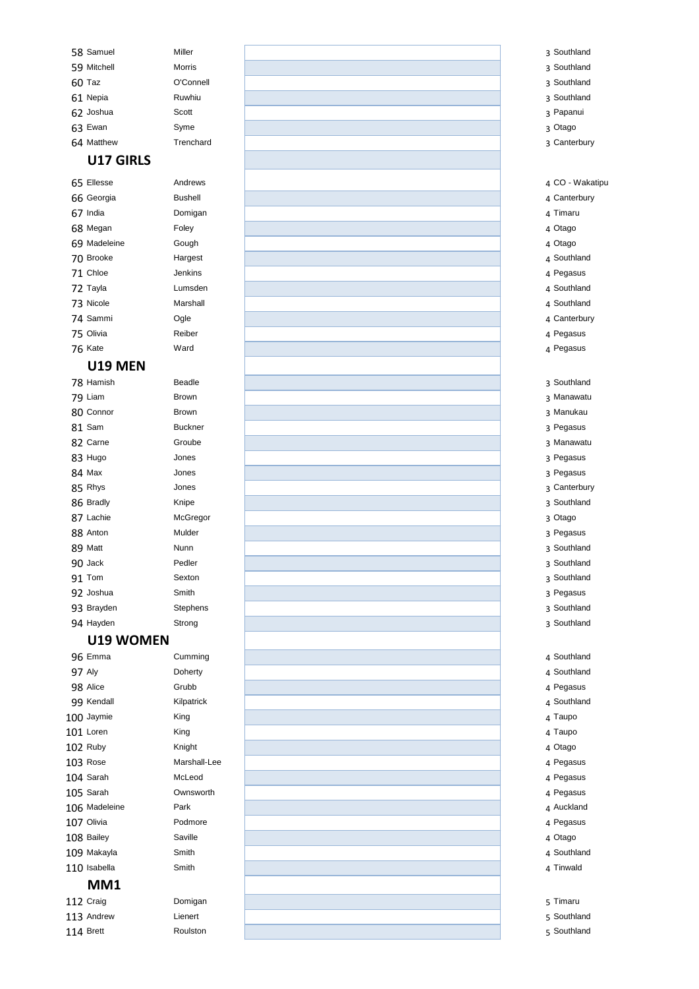#### Southland

#### Samuel Miller 59 Mitchell Morris Taz O'Connell

- 61 Nepia **Ruwhiu**  Joshua Scott 63 Ewan Syme
- Matthew Trenchard
- Southland
- Southland
- Southland
- Papanui
- Otago
- Canterbury

# **U17 GIRLS**

#### CO - Wakatipu

| 65 Ellesse   | Andrews        |
|--------------|----------------|
| 66 Georgia   | <b>Bushell</b> |
| 67 India     | Domigan        |
| 68 Megan     | Foley          |
| 69 Madeleine | Gough          |
| 70 Brooke    | Hargest        |
| 71 Chloe     | Jenkins        |
| 72 Tayla     | Lumsden        |
| 73 Nicole    | Marshall       |
| 74 Sammi     | Ogle           |
| 75 Olivia    | Reiber         |
| 76 Kate      | Ward           |

## **U19 MEN**

- Canterbury
- Timaru
- Otago
- Otago
- Southland
- Pegasus
- Southland
- Southland
- Canterbury
- Pegasus
- Pegasus
- Southland
- Manawatu
- Manukau
- Pegasus
- Manawatu
- Pegasus
- Pegasus
- Canterbury
- Southland
- Otago
- Pegasus
- Southland
- Southland
- Southland
- Pegasus
- Southland
- Southland
- Southland
- Southland
- Pegasus
- Southland
- Taupo
- Taupo
- 

 Ruby 103 Rose Marshall-Lee Sarah Sarah Ownsworth 106 Madeleine 107 Olivia 108 Bailey 109 Makayla 110 Isabella **MM1** 112 Craig

113 Andrew

Brett

| Knight     |
|------------|
| Marshall-L |
| McLeod     |
| Ownswortl  |
| Park       |
| Podmore    |
| Saville    |
| Smith      |
| Smith      |
|            |
| Domigan    |
| Lienert    |
| Roulston   |

| 78 Hamish  | Beadle   |
|------------|----------|
| 79 Liam    | Brown    |
| 80 Connor  | Brown    |
| 81 Sam     | Buckner  |
| 82 Carne   | Groube   |
| 83 Hugo    | Jones    |
| 84 Max     | Jones    |
| 85 Rhys    | Jones    |
| 86 Bradly  | Knipe    |
| 87 Lachie  | McGregor |
| 88 Anton   | Mulder   |
| 89 Matt    | Nunn     |
| 90 Jack    | Pedler   |
| 91 Tom     | Sexton   |
| 92 Joshua  | Smith    |
| 93 Brayden | Stephens |
| 94 Hayden  | Strong   |

### **U19 WOMEN**

| 96 Emma       | Cumming    |
|---------------|------------|
| <b>97 Aly</b> | Doherty    |
| 98 Alice      | Grubb      |
| 99 Kendall    | Kilpatrick |
| 100 Jaymie    | King       |
| 101 Loren     | King       |
| $102$ Ruby    | Kninht     |

 Otago Pegasus Pegasus Pegasus Auckland Pegasus Otago Southland Tinwald Timaru Southland Southland